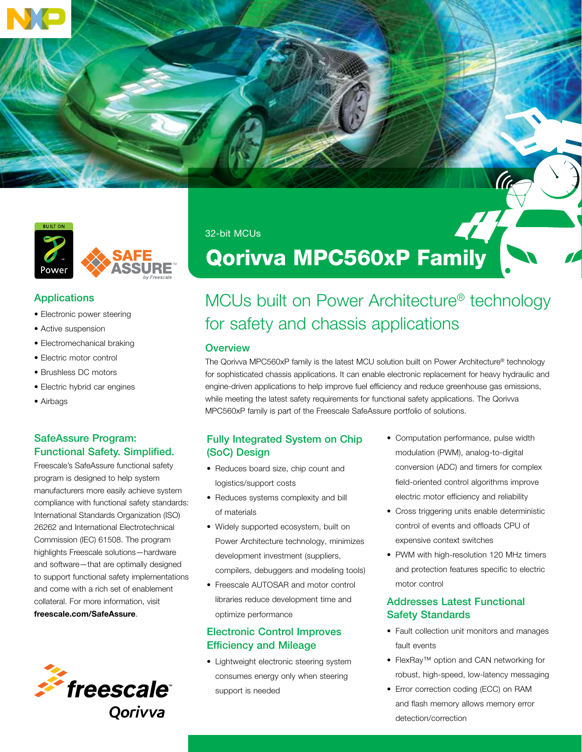



### **Applications**

- Electronic power steering
- Active suspension
- Electromechanical braking
- Electric motor control
- Brushless DC motors
- Electric hybrid car engines
- Airbags

## SafeAssure Program: Functional Safety. Simplified.

Freescale's SafeAssure functional safety program is designed to help system manufacturers more easily achieve system compliance with functional safety standards: International Standards Organization (ISO) 26262 and International Electrotechnical Commission (IEC) 61508. The program highlights Freescale solutions—hardware and software—that are optimally designed to support functional safety implementations and come with a rich set of enablement collateral. For more information, visit freescale.com/SafeAssure.



32-bit MCUs

# Qorivva MPC560xP Family

# MCUs built on Power Architecture® technology for safety and chassis applications

### **Overview**

The Qorivva MPC560xP family is the latest MCU solution built on Power Architecture® technology for sophisticated chassis applications. It can enable electronic replacement for heavy hydraulic and engine-driven applications to help improve fuel efficiency and reduce greenhouse gas emissions, while meeting the latest safety requirements for functional safety applications. The Qorivva MPC560xP family is part of the Freescale SafeAssure portfolio of solutions.

### Fully Integrated System on Chip (SoC) Design

- Reduces board size, chip count and logistics/support costs
- Reduces systems complexity and bill of materials
- Widely supported ecosystem, built on Power Architecture technology, minimizes development investment (suppliers, compilers, debuggers and modeling tools)
- Freescale AUTOSAR and motor control libraries reduce development time and optimize performance

## Electronic Control Improves Efficiency and Mileage

• Lightweight electronic steering system consumes energy only when steering support is needed

• Computation performance, pulse width modulation (PWM), analog-to-digital conversion (ADC) and timers for complex field-oriented control algorithms improve electric motor efficiency and reliability

dt

- Cross triggering units enable deterministic control of events and offloads CPU of expensive context switches
- PWM with high-resolution 120 MHz timers and protection features specific to electric motor control

### Addresses Latest Functional Safety Standards

- Fault collection unit monitors and manages fault events
- FlexRay™ option and CAN networking for robust, high-speed, low-latency messaging
- Error correction coding (ECC) on RAM and flash memory allows memory error detection/correction